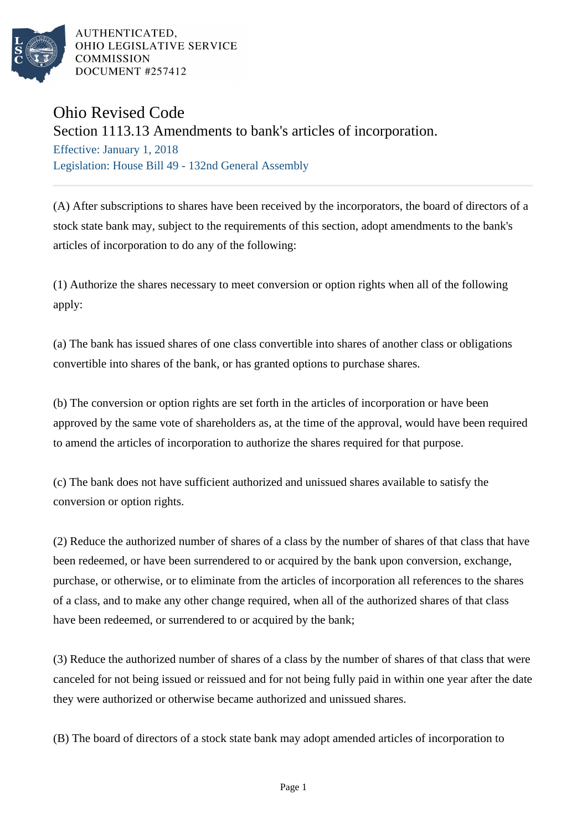

AUTHENTICATED. OHIO LEGISLATIVE SERVICE **COMMISSION** DOCUMENT #257412

## Ohio Revised Code

Section 1113.13 Amendments to bank's articles of incorporation.

Effective: January 1, 2018 Legislation: House Bill 49 - 132nd General Assembly

(A) After subscriptions to shares have been received by the incorporators, the board of directors of a stock state bank may, subject to the requirements of this section, adopt amendments to the bank's articles of incorporation to do any of the following:

(1) Authorize the shares necessary to meet conversion or option rights when all of the following apply:

(a) The bank has issued shares of one class convertible into shares of another class or obligations convertible into shares of the bank, or has granted options to purchase shares.

(b) The conversion or option rights are set forth in the articles of incorporation or have been approved by the same vote of shareholders as, at the time of the approval, would have been required to amend the articles of incorporation to authorize the shares required for that purpose.

(c) The bank does not have sufficient authorized and unissued shares available to satisfy the conversion or option rights.

(2) Reduce the authorized number of shares of a class by the number of shares of that class that have been redeemed, or have been surrendered to or acquired by the bank upon conversion, exchange, purchase, or otherwise, or to eliminate from the articles of incorporation all references to the shares of a class, and to make any other change required, when all of the authorized shares of that class have been redeemed, or surrendered to or acquired by the bank;

(3) Reduce the authorized number of shares of a class by the number of shares of that class that were canceled for not being issued or reissued and for not being fully paid in within one year after the date they were authorized or otherwise became authorized and unissued shares.

(B) The board of directors of a stock state bank may adopt amended articles of incorporation to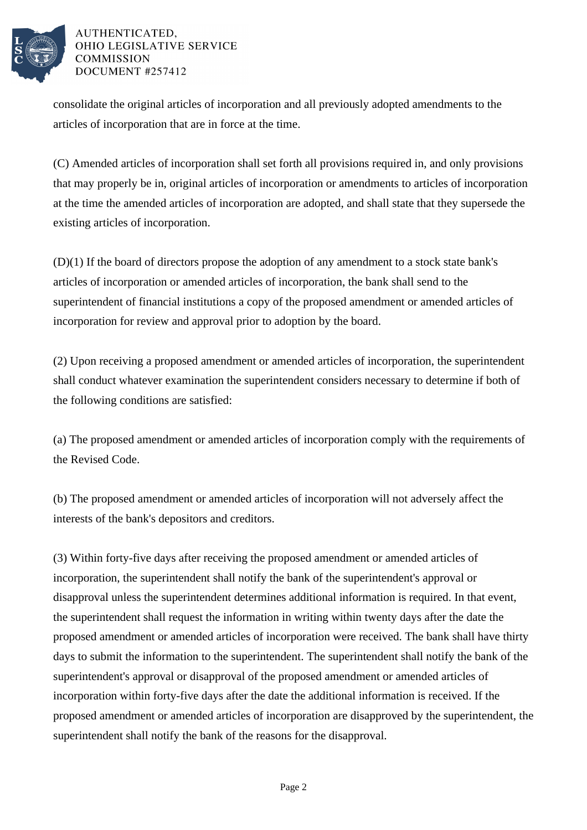

## AUTHENTICATED, OHIO LEGISLATIVE SERVICE **COMMISSION** DOCUMENT #257412

consolidate the original articles of incorporation and all previously adopted amendments to the articles of incorporation that are in force at the time.

(C) Amended articles of incorporation shall set forth all provisions required in, and only provisions that may properly be in, original articles of incorporation or amendments to articles of incorporation at the time the amended articles of incorporation are adopted, and shall state that they supersede the existing articles of incorporation.

(D)(1) If the board of directors propose the adoption of any amendment to a stock state bank's articles of incorporation or amended articles of incorporation, the bank shall send to the superintendent of financial institutions a copy of the proposed amendment or amended articles of incorporation for review and approval prior to adoption by the board.

(2) Upon receiving a proposed amendment or amended articles of incorporation, the superintendent shall conduct whatever examination the superintendent considers necessary to determine if both of the following conditions are satisfied:

(a) The proposed amendment or amended articles of incorporation comply with the requirements of the Revised Code.

(b) The proposed amendment or amended articles of incorporation will not adversely affect the interests of the bank's depositors and creditors.

(3) Within forty-five days after receiving the proposed amendment or amended articles of incorporation, the superintendent shall notify the bank of the superintendent's approval or disapproval unless the superintendent determines additional information is required. In that event, the superintendent shall request the information in writing within twenty days after the date the proposed amendment or amended articles of incorporation were received. The bank shall have thirty days to submit the information to the superintendent. The superintendent shall notify the bank of the superintendent's approval or disapproval of the proposed amendment or amended articles of incorporation within forty-five days after the date the additional information is received. If the proposed amendment or amended articles of incorporation are disapproved by the superintendent, the superintendent shall notify the bank of the reasons for the disapproval.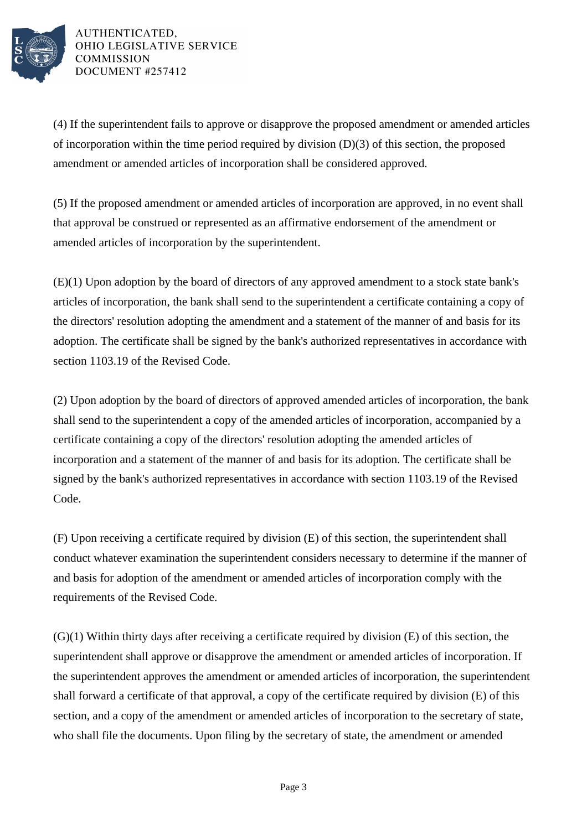

AUTHENTICATED. OHIO LEGISLATIVE SERVICE **COMMISSION** DOCUMENT #257412

(4) If the superintendent fails to approve or disapprove the proposed amendment or amended articles of incorporation within the time period required by division (D)(3) of this section, the proposed amendment or amended articles of incorporation shall be considered approved.

(5) If the proposed amendment or amended articles of incorporation are approved, in no event shall that approval be construed or represented as an affirmative endorsement of the amendment or amended articles of incorporation by the superintendent.

(E)(1) Upon adoption by the board of directors of any approved amendment to a stock state bank's articles of incorporation, the bank shall send to the superintendent a certificate containing a copy of the directors' resolution adopting the amendment and a statement of the manner of and basis for its adoption. The certificate shall be signed by the bank's authorized representatives in accordance with section 1103.19 of the Revised Code.

(2) Upon adoption by the board of directors of approved amended articles of incorporation, the bank shall send to the superintendent a copy of the amended articles of incorporation, accompanied by a certificate containing a copy of the directors' resolution adopting the amended articles of incorporation and a statement of the manner of and basis for its adoption. The certificate shall be signed by the bank's authorized representatives in accordance with section 1103.19 of the Revised Code.

(F) Upon receiving a certificate required by division (E) of this section, the superintendent shall conduct whatever examination the superintendent considers necessary to determine if the manner of and basis for adoption of the amendment or amended articles of incorporation comply with the requirements of the Revised Code.

(G)(1) Within thirty days after receiving a certificate required by division (E) of this section, the superintendent shall approve or disapprove the amendment or amended articles of incorporation. If the superintendent approves the amendment or amended articles of incorporation, the superintendent shall forward a certificate of that approval, a copy of the certificate required by division (E) of this section, and a copy of the amendment or amended articles of incorporation to the secretary of state, who shall file the documents. Upon filing by the secretary of state, the amendment or amended